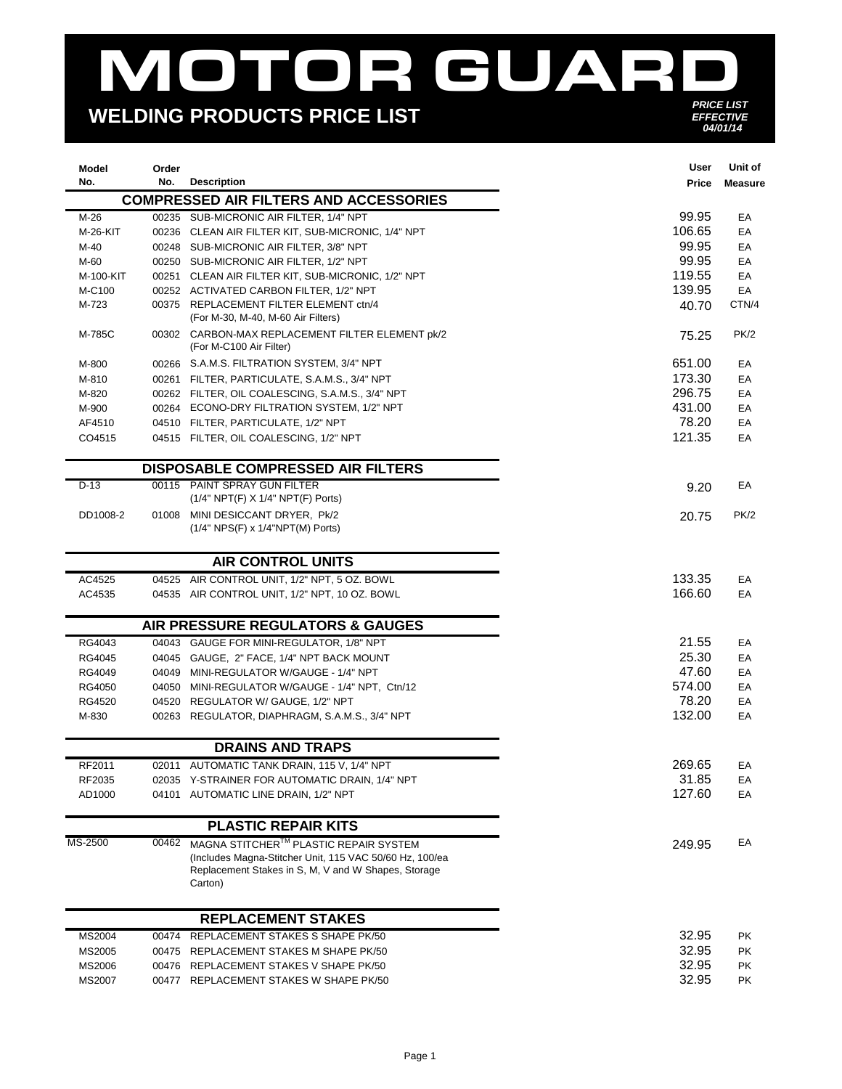## MOTOR GUARD *PRICE LIST*

## **WELDING PRODUCTS PRICE LIST**

EFFECTIVE<br>04/01/14

| Model<br>No.     | Order<br>No. | <b>Description</b>                                                                                                        | User<br>Price   | Unit of<br><b>Measure</b> |
|------------------|--------------|---------------------------------------------------------------------------------------------------------------------------|-----------------|---------------------------|
|                  |              | <b>COMPRESSED AIR FILTERS AND ACCESSORIES</b>                                                                             |                 |                           |
| M-26             |              | 00235 SUB-MICRONIC AIR FILTER, 1/4" NPT                                                                                   | 99.95           | EA                        |
| M-26-KIT         |              | 00236 CLEAN AIR FILTER KIT, SUB-MICRONIC, 1/4" NPT                                                                        | 106.65          | EA                        |
| M-40             |              | 00248 SUB-MICRONIC AIR FILTER, 3/8" NPT                                                                                   | 99.95           | EA                        |
| M-60             |              | 00250 SUB-MICRONIC AIR FILTER, 1/2" NPT                                                                                   | 99.95           | EA                        |
| M-100-KIT        |              | 00251 CLEAN AIR FILTER KIT, SUB-MICRONIC, 1/2" NPT                                                                        | 119.55          | EA                        |
| M-C100           |              | 00252 ACTIVATED CARBON FILTER, 1/2" NPT                                                                                   | 139.95          | EA                        |
| M-723            |              | 00375 REPLACEMENT FILTER ELEMENT ctn/4<br>(For M-30, M-40, M-60 Air Filters)                                              | 40.70           | CTN/4                     |
| M-785C           |              | 00302 CARBON-MAX REPLACEMENT FILTER ELEMENT pk/2<br>(For M-C100 Air Filter)                                               | 75.25           | PK/2                      |
| M-800            |              | 00266 S.A.M.S. FILTRATION SYSTEM, 3/4" NPT                                                                                | 651.00          | EA                        |
| M-810            |              | 00261 FILTER, PARTICULATE, S.A.M.S., 3/4" NPT                                                                             | 173.30          | EA                        |
| M-820            |              | 00262 FILTER, OIL COALESCING, S.A.M.S., 3/4" NPT                                                                          | 296.75          | EA                        |
| M-900            |              | 00264 ECONO-DRY FILTRATION SYSTEM, 1/2" NPT                                                                               | 431.00          | EA                        |
| AF4510           |              | 04510 FILTER, PARTICULATE, 1/2" NPT                                                                                       | 78.20           | EA                        |
| CO4515           |              | 04515 FILTER, OIL COALESCING, 1/2" NPT                                                                                    | 121.35          | EA                        |
|                  |              | <b>DISPOSABLE COMPRESSED AIR FILTERS</b>                                                                                  |                 |                           |
| D-13             |              | 00115 PAINT SPRAY GUN FILTER<br>(1/4" NPT(F) X 1/4" NPT(F) Ports)                                                         | 9.20            | EA                        |
| DD1008-2         |              | 01008 MINI DESICCANT DRYER, Pk/2                                                                                          | 20.75           | PK/2                      |
|                  |              | (1/4" NPS(F) x 1/4"NPT(M) Ports)                                                                                          |                 |                           |
|                  |              | <b>AIR CONTROL UNITS</b>                                                                                                  |                 |                           |
| AC4525           |              | 04525 AIR CONTROL UNIT, 1/2" NPT, 5 OZ. BOWL                                                                              | 133.35          | EA                        |
| AC4535           |              | 04535 AIR CONTROL UNIT, 1/2" NPT, 10 OZ. BOWL                                                                             | 166.60          | EA                        |
|                  |              | AIR PRESSURE REGULATORS & GAUGES                                                                                          |                 |                           |
| RG4043           |              | 04043 GAUGE FOR MINI-REGULATOR, 1/8" NPT                                                                                  | 21.55           | EA                        |
| RG4045           |              | 04045 GAUGE, 2" FACE, 1/4" NPT BACK MOUNT                                                                                 | 25.30           | EA                        |
| RG4049           |              | 04049 MINI-REGULATOR W/GAUGE - 1/4" NPT                                                                                   | 47.60           | EA                        |
| RG4050           |              | 04050 MINI-REGULATOR W/GAUGE - 1/4" NPT, Ctn/12                                                                           | 574.00          | EA                        |
| RG4520           |              | 04520 REGULATOR W/ GAUGE, 1/2" NPT                                                                                        | 78.20           | EA                        |
| M-830            |              | 00263 REGULATOR, DIAPHRAGM, S.A.M.S., 3/4" NPT                                                                            | 132.00          | EA                        |
|                  |              | <b>DRAINS AND TRAPS</b>                                                                                                   |                 |                           |
| RF2011           |              | 02011 AUTOMATIC TANK DRAIN, 115 V, 1/4" NPT                                                                               | 269.65          | EA                        |
| RF2035<br>AD1000 |              | 02035 Y-STRAINER FOR AUTOMATIC DRAIN, 1/4" NPT<br>04101 AUTOMATIC LINE DRAIN, 1/2" NPT                                    | 31.85<br>127.60 | EA<br>EA                  |
|                  |              | <b>PLASTIC REPAIR KITS</b>                                                                                                |                 |                           |
| MS-2500          | 00462        | MAGNA STITCHER™ PLASTIC REPAIR SYSTEM                                                                                     |                 | EA                        |
|                  |              | (Includes Magna-Stitcher Unit, 115 VAC 50/60 Hz, 100/ea<br>Replacement Stakes in S, M, V and W Shapes, Storage<br>Carton) | 249.95          |                           |
|                  |              | <b>REPLACEMENT STAKES</b>                                                                                                 |                 |                           |
| MS2004           |              | 00474 REPLACEMENT STAKES S SHAPE PK/50                                                                                    | 32.95           | PK                        |
| MS2005           |              | 00475 REPLACEMENT STAKES M SHAPE PK/50                                                                                    | 32.95           | PK                        |
| MS2006           |              | 00476 REPLACEMENT STAKES V SHAPE PK/50                                                                                    | 32.95           | PK                        |
| MS2007           |              | 00477 REPLACEMENT STAKES W SHAPE PK/50                                                                                    | 32.95           | PK                        |